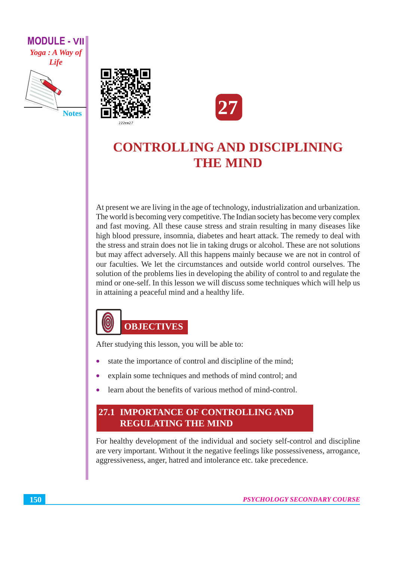

**Notes** 



## **CONTROLLING AND DISCIPLINING THE MIND**

At present we are living in the age of technology, industrialization and urbanization. The world is becoming very competitive. The Indian society has become very complex and fast moving. All these cause stress and strain resulting in many diseases like high blood pressure, insomnia, diabetes and heart attack. The remedy to deal with the stress and strain does not lie in taking drugs or alcohol. These are not solutions but may affect adversely. All this happens mainly because we are not in control of our faculties. We let the circumstances and outside world control ourselves. The solution of the problems lies in developing the ability of control to and regulate the mind or one-self. In this lesson we will discuss some techniques which will help us in attaining a peaceful mind and a healthy life.



After studying this lesson, you will be able to:

- state the importance of control and discipline of the mind;
- explain some techniques and methods of mind control; and
- learn about the benefits of various method of mind-control.

### 27.1 IMPORTANCE OF CONTROLLING AND **REGULATING THE MIND**

For healthy development of the individual and society self-control and discipline are very important. Without it the negative feelings like possessiveness, arrogance, aggressiveness, anger, hatred and intolerance etc. take precedence.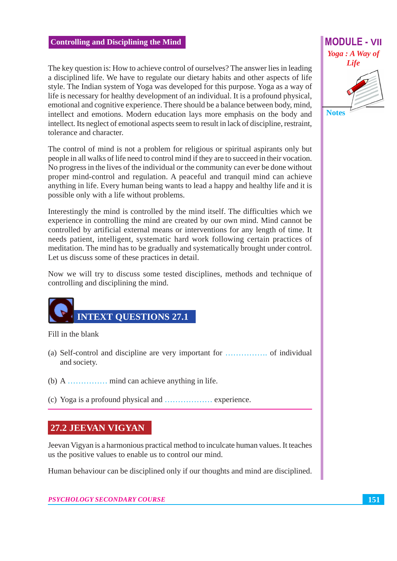The key question is: How to achieve control of ourselves? The answer lies in leading a disciplined life. We have to regulate our dietary habits and other aspects of life style. The Indian system of Yoga was developed for this purpose. Yoga as a way of life is necessary for healthy development of an individual. It is a profound physical, emotional and cognitive experience. There should be a balance between body, mind, intellect and emotions. Modern education lays more emphasis on the body and intellect. Its neglect of emotional aspects seem to result in lack of discipline, restraint, tolerance and character.

The control of mind is not a problem for religious or spiritual aspirants only but people in all walks of life need to control mind if they are to succeed in their vocation. No progress in the lives of the individual or the community can ever be done without proper mind-control and regulation. A peaceful and tranquil mind can achieve anything in life. Every human being wants to lead a happy and healthy life and it is possible only with a life without problems.

Interestingly the mind is controlled by the mind itself. The difficulties which we experience in controlling the mind are created by our own mind. Mind cannot be controlled by artificial external means or interventions for any length of time. It needs patient, intelligent, systematic hard work following certain practices of meditation. The mind has to be gradually and systematically brought under control. Let us discuss some of these practices in detail.

Now we will try to discuss some tested disciplines, methods and technique of controlling and disciplining the mind.



Fill in the blank

- and society.
- 
- 

#### 27.2 JEEVAN VIGYAN

Jeevan Vigyan is a harmonious practical method to inculcate human values. It teaches us the positive values to enable us to control our mind.

Human behaviour can be disciplined only if our thoughts and mind are disciplined.

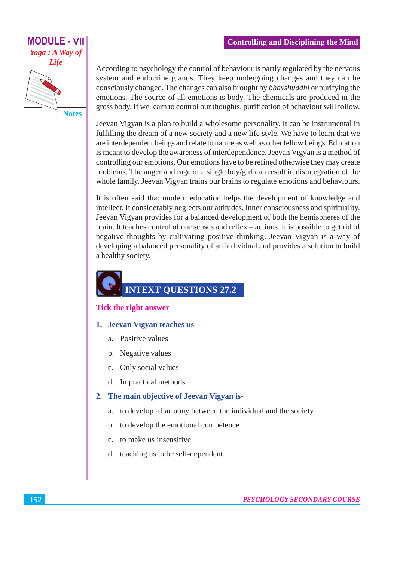# **MODULE - VII** Yoga : A Way of Life

**Notes** 

#### **Controlling and Disciplining the Mind**

According to psychology the control of behaviour is partly regulated by the nervous system and endocrine glands. They keep undergoing changes and they can be consciously changed. The changes can also brought by *bhavshuddhi* or purifying the emotions. The source of all emotions is body. The chemicals are produced in the gross body. If we learn to control our thoughts, purification of behaviour will follow.

Jeevan Vigyan is a plan to build a wholesome personality. It can be instrumental in fulfilling the dream of a new society and a new life style. We have to learn that we are interdependent beings and relate to nature as well as other fellow beings. Education is meant to develop the awareness of interdependence. Jeevan Vigyan is a method of controlling our emotions. Our emotions have to be refined otherwise they may create problems. The anger and rage of a single boy/girl can result in disintegration of the whole family. Jeevan Vigyan trains our brains to regulate emotions and behaviours.

It is often said that modern education helps the development of knowledge and intellect. It considerably neglects our attitudes, inner consciousness and spirituality. Jeevan Vigyan provides for a balanced development of both the hemispheres of the brain. It teaches control of our senses and reflex – actions. It is possible to get rid of negative thoughts by cultivating positive thinking. Jeevan Vigyan is a way of developing a balanced personality of an individual and provides a solution to build a healthy society.

## **INTEXT OUESTIONS 27.2**

#### **Tick the right answer**

- 1. Jeevan Vigyan teaches us
	- a. Positive values
	- b. Negative values
	- Only social values  $c.$
	- d. Impractical methods

#### 2. The main objective of Jeevan Vigyan is-

- to develop a harmony between the individual and the society a.
- b. to develop the emotional competence
- to make us insensitive  $\mathbf{c}$ .
- d. teaching us to be self-dependent.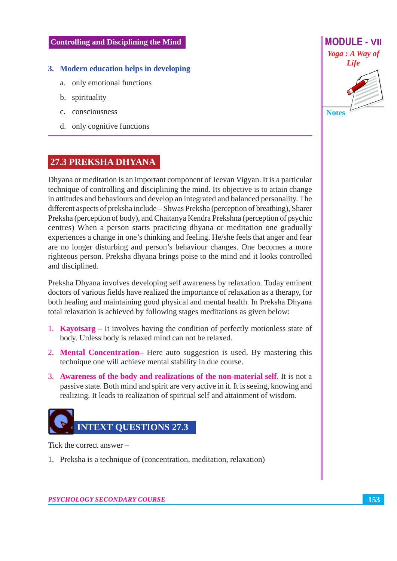#### 3. Modern education helps in developing

- a. only emotional functions
- b. spirituality
- c. consciousness
- d. only cognitive functions

#### 27.3 PREKSHA DHYANA

Dhyana or meditation is an important component of Jeevan Vigyan. It is a particular technique of controlling and disciplining the mind. Its objective is to attain change in attitudes and behaviours and develop an integrated and balanced personality. The different aspects of preksha include – Shwas Preksha (perception of breathing), Sharer Preksha (perception of body), and Chaitanya Kendra Prekshna (perception of psychic centres) When a person starts practicing dhyana or meditation one gradually experiences a change in one's thinking and feeling. He/she feels that anger and fear are no longer disturbing and person's behaviour changes. One becomes a more righteous person. Preksha dhyana brings poise to the mind and it looks controlled and disciplined.

Preksha Dhyana involves developing self awareness by relaxation. Today eminent doctors of various fields have realized the importance of relaxation as a therapy, for both healing and maintaining good physical and mental health. In Preksha Dhyana total relaxation is achieved by following stages meditations as given below:

- 1. **Kayotsarg** It involves having the condition of perfectly motionless state of body. Unless body is relaxed mind can not be relaxed.
- 2. Mental Concentration– Here auto suggestion is used. By mastering this technique one will achieve mental stability in due course.
- 3. Awareness of the body and realizations of the non-material self. It is not a passive state. Both mind and spirit are very active in it. It is seeing, knowing and realizing. It leads to realization of spiritual self and attainment of wisdom.



Tick the correct answer –

1. Preksha is a technique of (concentration, meditation, relaxation)



**PSYCHOLOGY SECONDARY COURSE**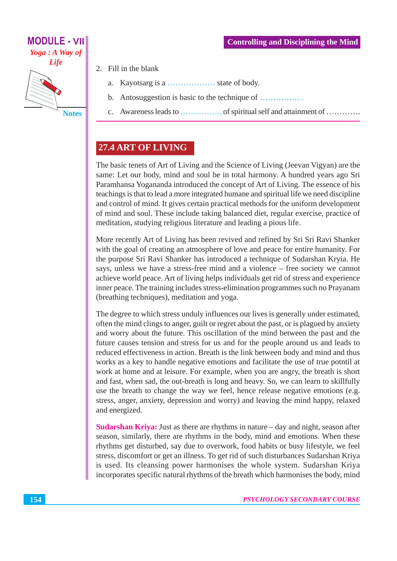

- 2. Fill in the blank
	- Kayotsarg is a ......................... state of body.  $\mathbf{a}$
	- $<sub>b</sub>$ .</sub> Antosuggestion is basic to the technique of ................
	- $\mathbf{c}$ .

### 27.4 ART OF LIVING

The basic tenets of Art of Living and the Science of Living (Jeevan Vigyan) are the same: Let our body, mind and soul be in total harmony. A hundred years ago Sri Paramhansa Yogananda introduced the concept of Art of Living. The essence of his teachings is that to lead a more integrated humane and spiritual life we need discipline and control of mind. It gives certain practical methods for the uniform development of mind and soul. These include taking balanced diet, regular exercise, practice of meditation, studying religious literature and leading a pious life.

More recently Art of Living has been revived and refined by Sri Sri Ravi Shanker with the goal of creating an atmosphere of love and peace for entire humanity. For the purpose Sri Ravi Shanker has introduced a technique of Sudarshan Kryia. He says, unless we have a stress-free mind and a violence – free society we cannot achieve world peace. Art of living helps individuals get rid of stress and experience inner peace. The training includes stress-elimination programmes such no Prayanam (breathing techniques), meditation and yoga.

The degree to which stress unduly influences our lives is generally under estimated, often the mind clings to anger, guilt or regret about the past, or is plagued by anxiety and worry about the future. This oscillation of the mind between the past and the future causes tension and stress for us and for the people around us and leads to reduced effectiveness in action. Breath is the link between body and mind and thus works as a key to handle negative emotions and facilitate the use of true potntil at work at home and at leisure. For example, when you are angry, the breath is short and fast, when sad, the out-breath is long and heavy. So, we can learn to skillfully use the breath to change the way we feel, hence release negative emotions (e.g. stress, anger, anxiety, depression and worry) and leaving the mind happy, relaxed and energized.

**Sudarshan Kriva:** Just as there are rhythms in nature – day and night, season after season, similarly, there are rhythms in the body, mind and emotions. When these rhythms get disturbed, say due to overwork, food habits or busy lifestyle, we feel stress, discomfort or get an illness. To get rid of such disturbances Sudarshan Kriya is used. Its cleansing power harmonises the whole system. Sudarshan Kriya incorporates specific natural rhythms of the breath which harmonises the body, mind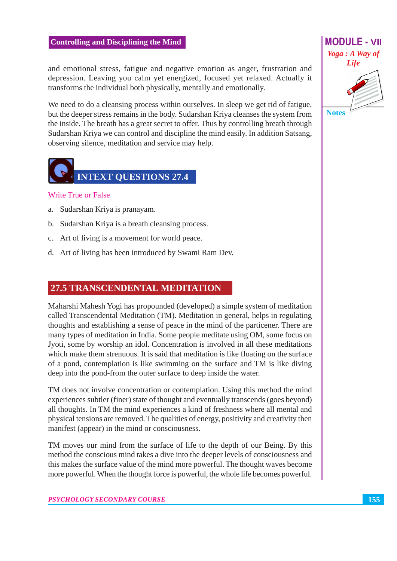and emotional stress, fatigue and negative emotion as anger, frustration and depression. Leaving you calm yet energized, focused yet relaxed. Actually it transforms the individual both physically, mentally and emotionally.

We need to do a cleansing process within ourselves. In sleep we get rid of fatigue, but the deeper stress remains in the body. Sudarshan Kriya cleanses the system from the inside. The breath has a great secret to offer. Thus by controlling breath through Sudarshan Kriya we can control and discipline the mind easily. In addition Satsang, observing silence, meditation and service may help.



#### **Write True or False**

- a. Sudarshan Kriya is pranayam.
- b. Sudarshan Kriya is a breath cleansing process.
- c. Art of living is a movement for world peace.
- d. Art of living has been introduced by Swami Ram Dev.

#### 27.5 TRANSCENDENTAL MEDITATION

Maharshi Mahesh Yogi has propounded (developed) a simple system of meditation called Transcendental Meditation (TM). Meditation in general, helps in regulating thoughts and establishing a sense of peace in the mind of the particener. There are many types of meditation in India. Some people meditate using OM, some focus on Jyoti, some by worship an idol. Concentration is involved in all these meditations which make them strenuous. It is said that meditation is like floating on the surface of a pond, contemplation is like swimming on the surface and TM is like diving deep into the pond-from the outer surface to deep inside the water.

TM does not involve concentration or contemplation. Using this method the mind experiences subtler (finer) state of thought and eventually transcends (goes beyond) all thoughts. In TM the mind experiences a kind of freshness where all mental and physical tensions are removed. The qualities of energy, positivity and creativity then manifest (appear) in the mind or consciousness.

TM moves our mind from the surface of life to the depth of our Being. By this method the conscious mind takes a dive into the deeper levels of consciousness and this makes the surface value of the mind more powerful. The thought waves become more powerful. When the thought force is powerful, the whole life becomes powerful.



155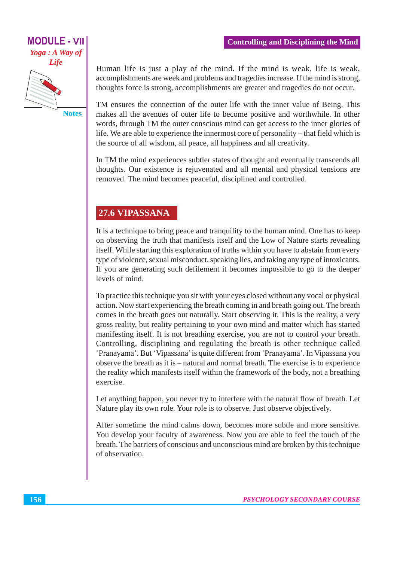# **MODULE - VII** Yoga : A Way of **Life**

**Notes** 

Human life is just a play of the mind. If the mind is weak, life is weak, accomplishments are week and problems and tragedies increase. If the mind is strong, thoughts force is strong, accomplishments are greater and tragedies do not occur.

TM ensures the connection of the outer life with the inner value of Being. This makes all the avenues of outer life to become positive and worthwhile. In other words, through TM the outer conscious mind can get access to the inner glories of life. We are able to experience the innermost core of personality – that field which is the source of all wisdom, all peace, all happiness and all creativity.

In TM the mind experiences subtler states of thought and eventually transcends all thoughts. Our existence is rejuvenated and all mental and physical tensions are removed. The mind becomes peaceful, disciplined and controlled.

#### 27.6 VIPASSANA

It is a technique to bring peace and tranquility to the human mind. One has to keep on observing the truth that manifests itself and the Low of Nature starts revealing itself. While starting this exploration of truths within you have to abstain from every type of violence, sexual misconduct, speaking lies, and taking any type of intoxicants. If you are generating such defilement it becomes impossible to go to the deeper levels of mind.

To practice this technique you sit with your eyes closed without any vocal or physical action. Now start experiencing the breath coming in and breath going out. The breath comes in the breath goes out naturally. Start observing it. This is the reality, a very gross reality, but reality pertaining to your own mind and matter which has started manifesting itself. It is not breathing exercise, you are not to control your breath. Controlling, disciplining and regulating the breath is other technique called 'Pranayama'. But 'Vipassana' is quite different from 'Pranayama'. In Vipassana you observe the breath as it is – natural and normal breath. The exercise is to experience the reality which manifests itself within the framework of the body, not a breathing exercise.

Let anything happen, you never try to interfere with the natural flow of breath. Let Nature play its own role. Your role is to observe. Just observe objectively.

After sometime the mind calms down, becomes more subtle and more sensitive. You develop your faculty of awareness. Now you are able to feel the touch of the breath. The barriers of conscious and unconscious mind are broken by this technique of observation.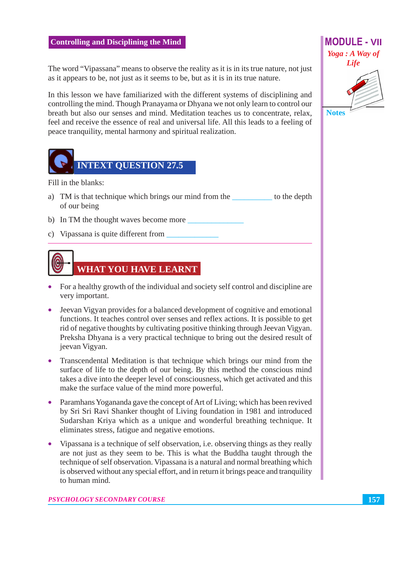The word "Vipassana" means to observe the reality as it is in its true nature, not just as it appears to be, not just as it seems to be, but as it is in its true nature.

In this lesson we have familiarized with the different systems of disciplining and controlling the mind. Though Pranayama or Dhyana we not only learn to control our breath but also our senses and mind. Meditation teaches us to concentrate, relax, feel and receive the essence of real and universal life. All this leads to a feeling of peace tranquility, mental harmony and spiritual realization.



Fill in the blanks:

- a) TM is that technique which brings our mind from the the total to the depth of our being
- b) In TM the thought waves become more
- c) Vipassana is quite different from



- For a healthy growth of the individual and society self control and discipline are very important.
- Jeevan Vigyan provides for a balanced development of cognitive and emotional functions. It teaches control over senses and reflex actions. It is possible to get rid of negative thoughts by cultivating positive thinking through Jeevan Vigyan. Preksha Dhyana is a very practical technique to bring out the desired result of jeevan Vigyan.
- Transcendental Meditation is that technique which brings our mind from the surface of life to the depth of our being. By this method the conscious mind takes a dive into the deeper level of consciousness, which get activated and this make the surface value of the mind more powerful.
- Paramhans Yogananda gave the concept of Art of Living; which has been revived by Sri Sri Ravi Shanker thought of Living foundation in 1981 and introduced Sudarshan Kriya which as a unique and wonderful breathing technique. It eliminates stress, fatigue and negative emotions.
- Vipassana is a technique of self observation, i.e. observing things as they really  $\bullet$ are not just as they seem to be. This is what the Buddha taught through the technique of self observation. Vipassana is a natural and normal breathing which is observed without any special effort, and in return it brings peace and tranquility to human mind.

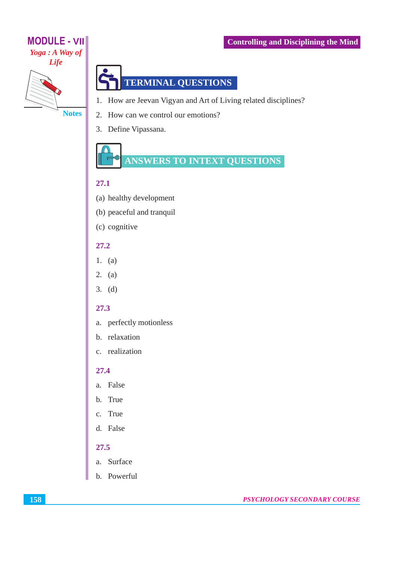# **MODULE - VII** Yoga: A Way of **Life**

**Notes** 



- 1. How are Jeevan Vigyan and Art of Living related disciplines?
- 2. How can we control our emotions?
- 3. Define Vipassana.



#### 27.1

- (a) healthy development
- (b) peaceful and tranquil
- (c) cognitive

#### 27.2

- $1. (a)$
- 2. (a)
- $3. (d)$

#### 27.3

- a. perfectly motionless
- b. relaxation
- c. realization

#### $27.4$

- a. False
- b. True
- c. True
- d. False

#### 27.5

- a. Surface
- b. Powerful